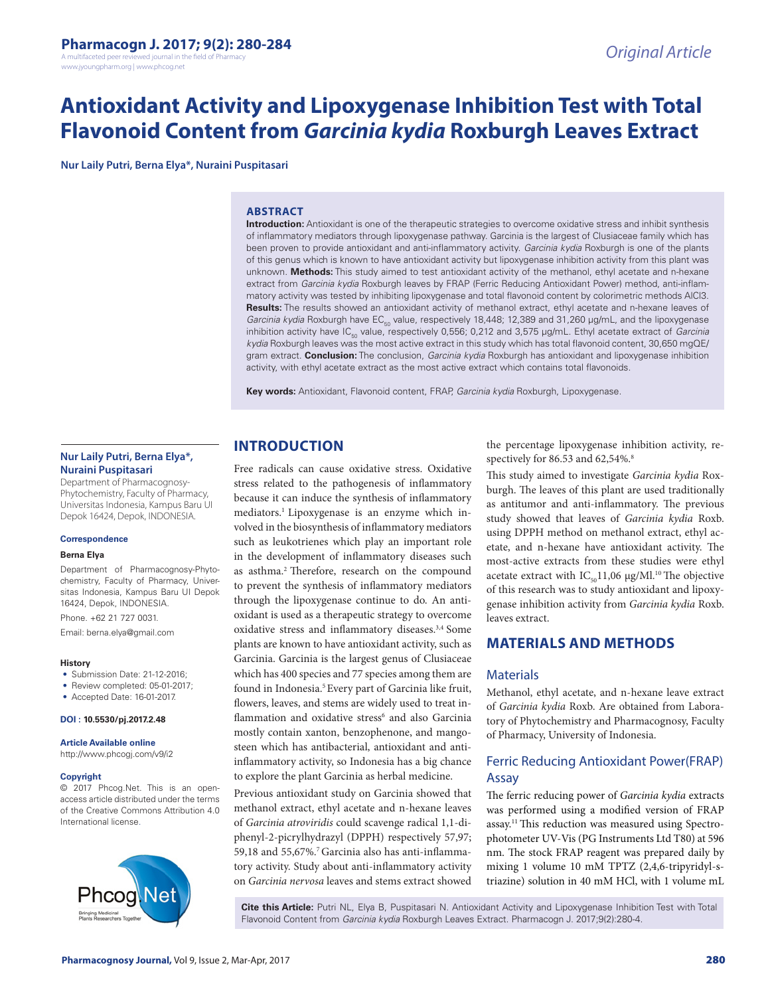A multifaceted peer reviewed journal in the field of Pharm www.jyoungpharm.org | www.phcog.net

# **Antioxidant Activity and Lipoxygenase Inhibition Test with Total Flavonoid Content from** *Garcinia kydia* **Roxburgh Leaves Extract**

**Nur Laily Putri, Berna Elya\*, Nuraini Puspitasari**

#### **ABSTRACT**

**Introduction:** Antioxidant is one of the therapeutic strategies to overcome oxidative stress and inhibit synthesis of inflammatory mediators through lipoxygenase pathway. Garcinia is the largest of Clusiaceae family which has been proven to provide antioxidant and anti-inflammatory activity. *Garcinia kydia* Roxburgh is one of the plants of this genus which is known to have antioxidant activity but lipoxygenase inhibition activity from this plant was unknown. **Methods:** This study aimed to test antioxidant activity of the methanol, ethyl acetate and n-hexane extract from *Garcinia kydia* Roxburgh leaves by FRAP (Ferric Reducing Antioxidant Power) method, anti-inflammatory activity was tested by inhibiting lipoxygenase and total flavonoid content by colorimetric methods AlCl3. **Results:** The results showed an antioxidant activity of methanol extract, ethyl acetate and n-hexane leaves of *Garcinia kydia* Roxburgh have EC<sub>50</sub> value, respectively 18,448; 12,389 and 31,260 µg/mL, and the lipoxygenase inhibition activity have IC<sub>50</sub> value, respectively 0,556; 0,212 and 3,575 µg/mL. Ethyl acetate extract of *Garcinia kydia* Roxburgh leaves was the most active extract in this study which has total flavonoid content, 30,650 mgQE/ gram extract. **Conclusion:** The conclusion, *Garcinia kydia* Roxburgh has antioxidant and lipoxygenase inhibition activity, with ethyl acetate extract as the most active extract which contains total flavonoids.

**Key words:** Antioxidant, Flavonoid content, FRAP, *Garcinia kydia* Roxburgh, Lipoxygenase.

### **Nur Laily Putri, Berna Elya\*, Nuraini Puspitasari**

Department of Pharmacognosy-Phytochemistry, Faculty of Pharmacy, Universitas Indonesia, Kampus Baru UI Depok 16424, Depok, INDONESIA.

#### **Correspondence**

#### **Berna Elya**

Department of Pharmacognosy-Phytochemistry, Faculty of Pharmacy, Universitas Indonesia, Kampus Baru UI Depok 16424, Depok, INDONESIA.

Phone. +62 21 727 0031. Email: berna.elya@gmail.com

- **History** • Submission Date: 21-12-2016:
- Review completed: 05-01-2017;
- Accepted Date: 16-01-2017.

**DOI : 10.5530/pj.2017.2.48**

**Article Available online**  http://www.phcogj.com/v9/i2

#### **Copyright**

© 2017 Phcog.Net. This is an openaccess article distributed under the terms of the Creative Commons Attribution 4.0 International license.



# **INTRODUCTION**

Free radicals can cause oxidative stress. Oxidative stress related to the pathogenesis of inflammatory because it can induce the synthesis of inflammatory mediators.1 Lipoxygenase is an enzyme which involved in the biosynthesis of inflammatory mediators such as leukotrienes which play an important role in the development of inflammatory diseases such as asthma.2 Therefore, research on the compound to prevent the synthesis of inflammatory mediators through the lipoxygenase continue to do. An antioxidant is used as a therapeutic strategy to overcome oxidative stress and inflammatory diseases.3,4 Some plants are known to have antioxidant activity, such as Garcinia. Garcinia is the largest genus of Clusiaceae which has 400 species and 77 species among them are found in Indonesia.<sup>5</sup> Every part of Garcinia like fruit, flowers, leaves, and stems are widely used to treat inflammation and oxidative stress<sup>6</sup> and also Garcinia mostly contain xanton, benzophenone, and mangosteen which has antibacterial, antioxidant and antiinflammatory activity, so Indonesia has a big chance to explore the plant Garcinia as herbal medicine.

Previous antioxidant study on Garcinia showed that methanol extract, ethyl acetate and n-hexane leaves of *Garcinia atroviridis* could scavenge radical 1,1-diphenyl-2-picrylhydrazyl (DPPH) respectively 57,97; 59,18 and 55,67%.<sup>7</sup> Garcinia also has anti-inflammatory activity. Study about anti-inflammatory activity on *Garcinia nervosa* leaves and stems extract showed the percentage lipoxygenase inhibition activity, respectively for 86.53 and 62,54%.<sup>8</sup>

This study aimed to investigate *Garcinia kydia* Roxburgh. The leaves of this plant are used traditionally as antitumor and anti-inflammatory. The previous study showed that leaves of *Garcinia kydia* Roxb. using DPPH method on methanol extract, ethyl acetate, and n-hexane have antioxidant activity. The most-active extracts from these studies were ethyl acetate extract with  $IC_{50}11,06 \mu g/Ml$ .<sup>10</sup> The objective of this research was to study antioxidant and lipoxygenase inhibition activity from *Garcinia kydia* Roxb. leaves extract.

# **MATERIALS AND METHODS**

#### **Materials**

Methanol, ethyl acetate, and n-hexane leave extract of *Garcinia kydia* Roxb. Are obtained from Laboratory of Phytochemistry and Pharmacognosy, Faculty of Pharmacy, University of Indonesia.

# Ferric Reducing Antioxidant Power(FRAP) Assay

The ferric reducing power of *Garcinia kydia* extracts was performed using a modified version of FRAP assay.11 This reduction was measured using Spectrophotometer UV-Vis (PG Instruments Ltd T80) at 596 nm. The stock FRAP reagent was prepared daily by mixing 1 volume 10 mM TPTZ (2,4,6-tripyridyl-striazine) solution in 40 mM HCl, with 1 volume mL

**Cite this Article:** Putri NL, Elya B, Puspitasari N. Antioxidant Activity and Lipoxygenase Inhibition Test with Total Flavonoid Content from *Garcinia kydia* Roxburgh Leaves Extract. Pharmacogn J. 2017;9(2):280-4.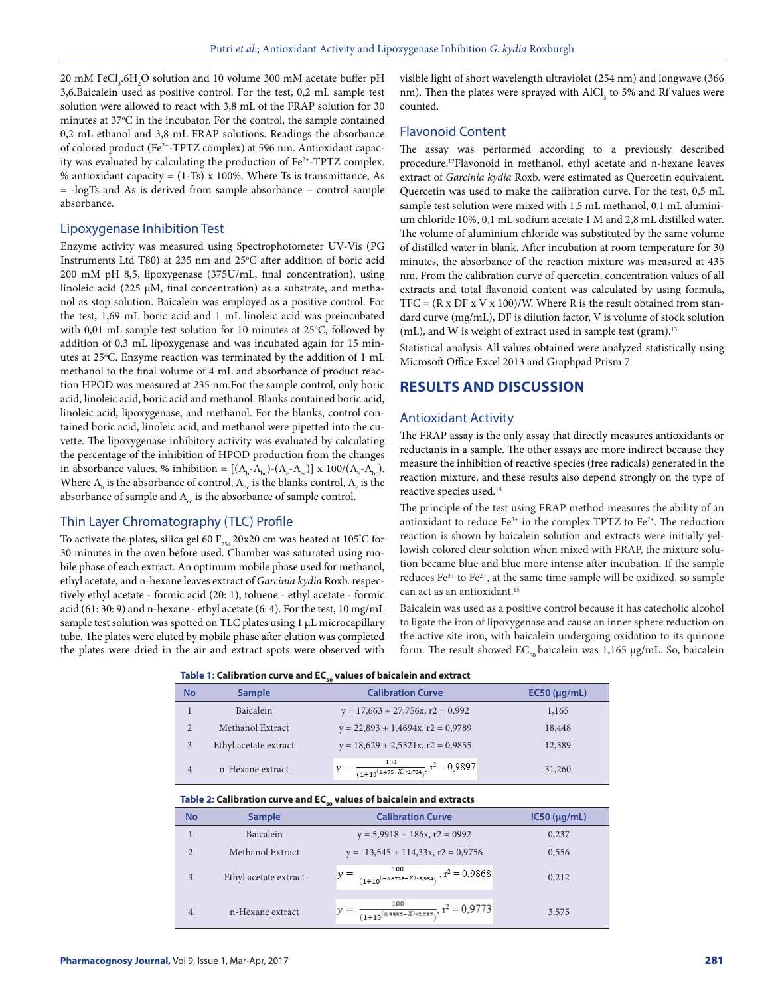20 mM FeCl<sub>3</sub>.6H<sub>2</sub>O solution and 10 volume 300 mM acetate buffer pH 3,6.Baicalein used as positive control. For the test, 0,2 mL sample test solution were allowed to react with 3,8 mL of the FRAP solution for 30 minutes at 37°C in the incubator. For the control, the sample contained 0,2 mL ethanol and 3,8 mL FRAP solutions. Readings the absorbance of colored product (Fe2+-TPTZ complex) at 596 nm. Antioxidant capacity was evaluated by calculating the production of Fe<sup>2+</sup>-TPTZ complex. % antioxidant capacity =  $(1-Ts)$  x 100%. Where Ts is transmittance, As = -logTs and As is derived from sample absorbance – control sample absorbance.

#### Lipoxygenase Inhibition Test

Enzyme activity was measured using Spectrophotometer UV-Vis (PG Instruments Ltd T80) at 235 nm and 25°C after addition of boric acid 200 mM pH 8,5, lipoxygenase (375U/mL, final concentration), using linoleic acid (225 µM, final concentration) as a substrate, and methanol as stop solution. Baicalein was employed as a positive control. For the test, 1,69 mL boric acid and 1 mL linoleic acid was preincubated with 0,01 mL sample test solution for 10 minutes at 25°C, followed by addition of 0,3 mL lipoxygenase and was incubated again for 15 minutes at 25°C. Enzyme reaction was terminated by the addition of 1 mL methanol to the final volume of 4 mL and absorbance of product reaction HPOD was measured at 235 nm.For the sample control, only boric acid, linoleic acid, boric acid and methanol. Blanks contained boric acid, linoleic acid, lipoxygenase, and methanol. For the blanks, control contained boric acid, linoleic acid, and methanol were pipetted into the cuvette. The lipoxygenase inhibitory activity was evaluated by calculating the percentage of the inhibition of HPOD production from the changes in absorbance values. % inhibition =  $[(A_b - A_{bc}) - (A_e - A_{ec})] \times 100/(A_b - A_{bc})$ . Where  $A_{\rm b}$  is the absorbance of control,  $A_{\rm bc}$  is the blanks control,  $A_{\rm e}$  is the absorbance of sample and  $A<sub>ec</sub>$  is the absorbance of sample control.

#### Thin Layer Chromatography (TLC) Profile

To activate the plates, silica gel 60  $F_{254}$ 20x20 cm was heated at 105°C for 30 minutes in the oven before used. Chamber was saturated using mobile phase of each extract. An optimum mobile phase used for methanol, ethyl acetate, and n-hexane leaves extract of *Garcinia kydia* Roxb. respectively ethyl acetate - formic acid (20: 1), toluene - ethyl acetate - formic acid (61: 30: 9) and n-hexane - ethyl acetate (6: 4). For the test, 10 mg/mL sample test solution was spotted on TLC plates using 1 µL microcapillary tube. The plates were eluted by mobile phase after elution was completed the plates were dried in the air and extract spots were observed with

visible light of short wavelength ultraviolet (254 nm) and longwave (366 nm). Then the plates were sprayed with AlCl<sub>3</sub> to 5% and Rf values were counted.

#### Flavonoid Content

The assay was performed according to a previously described procedure.12Flavonoid in methanol, ethyl acetate and n-hexane leaves extract of *Garcinia kydia* Roxb. were estimated as Quercetin equivalent. Quercetin was used to make the calibration curve. For the test, 0,5 mL sample test solution were mixed with 1,5 mL methanol, 0,1 mL aluminium chloride 10%, 0,1 mL sodium acetate 1 M and 2,8 mL distilled water. The volume of aluminium chloride was substituted by the same volume of distilled water in blank. After incubation at room temperature for 30 minutes, the absorbance of the reaction mixture was measured at 435 nm. From the calibration curve of quercetin, concentration values of all extracts and total flavonoid content was calculated by using formula,  $TFC = (R \times DF \times V \times 100) / W$ . Where R is the result obtained from standard curve (mg/mL), DF is dilution factor, V is volume of stock solution (mL), and W is weight of extract used in sample test (gram).<sup>13</sup>

Statistical analysis All values obtained were analyzed statistically using Microsoft Office Excel 2013 and Graphpad Prism 7.

# **RESULTS AND DISCUSSION**

#### Antioxidant Activity

The FRAP assay is the only assay that directly measures antioxidants or reductants in a sample. The other assays are more indirect because they measure the inhibition of reactive species (free radicals) generated in the reaction mixture, and these results also depend strongly on the type of reactive species used.14

The principle of the test using FRAP method measures the ability of an antioxidant to reduce  $Fe^{3+}$  in the complex TPTZ to  $Fe^{2+}$ . The reduction reaction is shown by baicalein solution and extracts were initially yellowish colored clear solution when mixed with FRAP, the mixture solution became blue and blue more intense after incubation. If the sample reduces  $Fe^{3+}$  to  $Fe^{2+}$ , at the same time sample will be oxidized, so sample can act as an antioxidant.15

Baicalein was used as a positive control because it has catecholic alcohol to ligate the iron of lipoxygenase and cause an inner sphere reduction on the active site iron, with baicalein undergoing oxidation to its quinone form. The result showed  $EC_{50}$  baicalein was 1,165 µg/mL. So, baicalein

| Table 1: Calibration curve and EC <sub>co</sub> values of baicalein and extract |  |
|---------------------------------------------------------------------------------|--|
|---------------------------------------------------------------------------------|--|

| No             | <b>Sample</b>         | <b>Calibration Curve</b>                                     | $EC50$ ( $\mu$ g/mL) |
|----------------|-----------------------|--------------------------------------------------------------|----------------------|
|                | Baicalein             | $y = 17,663 + 27,756x, r2 = 0,992$                           | 1,165                |
| $\overline{2}$ | Methanol Extract      | $y = 22,893 + 1,4694x, r2 = 0,9789$                          | 18,448               |
| 3              | Ethyl acetate extract | $y = 18,629 + 2,5321x, r2 = 0,9855$                          | 12,389               |
| 4              | n-Hexane extract      | 100<br>$\frac{1}{(1+10^{(1,495-X)*1,784})}$ , $r^2 = 0,9897$ | 31,260               |

#### Table 2: Calibration curve and EC<sub>50</sub> values of baicalein and extracts

| <b>No</b>        | <b>Sample</b>         | <b>Calibration Curve</b>                                        | IC50 (µq/mL) |
|------------------|-----------------------|-----------------------------------------------------------------|--------------|
| 1.               | <b>Baicalein</b>      | $y = 5,9918 + 186x, r2 = 0992$                                  | 0,237        |
| $\overline{2}$ . | Methanol Extract      | $y = -13,545 + 114,33x, r2 = 0,9756$                            | 0.556        |
| 3.               | Ethyl acetate extract | $y = \frac{100}{(1+10^{(-0.6728 - X)*8.954})}$ , $r^2 = 0.9868$ | 0.212        |
| 4.               | n-Hexane extract      | $= \frac{100}{(1+10^{(0,5582-X)*2,287})}, r^2 = 0,9773$         | 3,575        |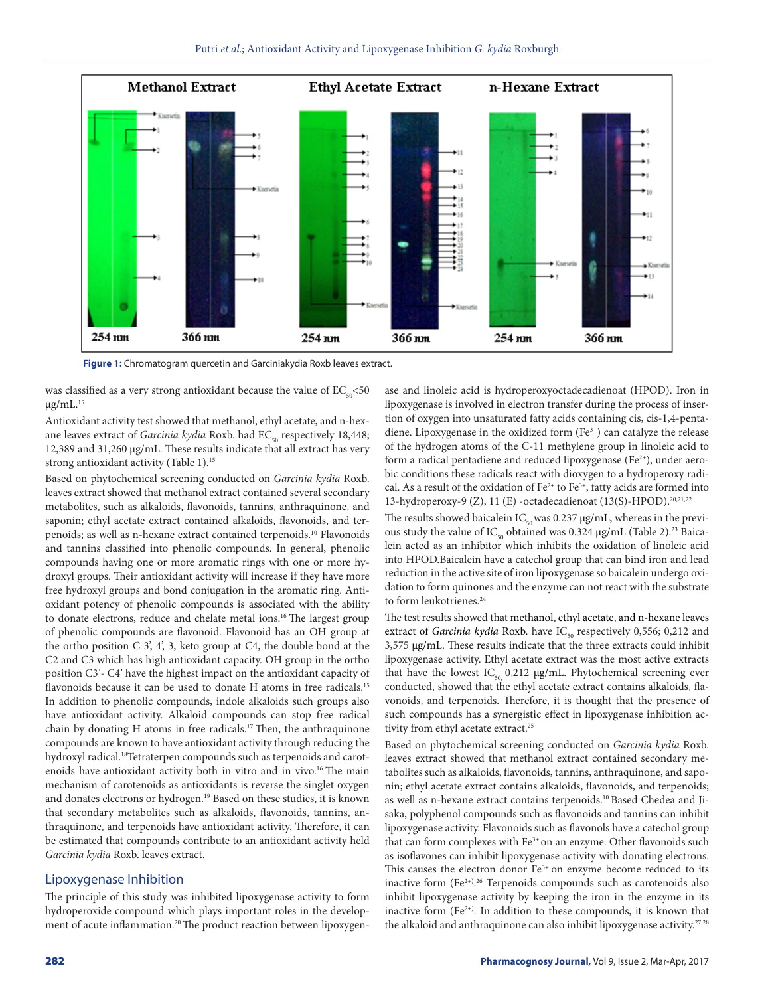

**Figure 1:** Chromatogram quercetin and Garciniakydia Roxb leaves extract.

was classified as a very strong antioxidant because the value of  $EC_{50}$  <50  $\mu$ g/mL. $^{15}$ 

Antioxidant activity test showed that methanol, ethyl acetate, and n-hexane leaves extract of *Garcinia kydia* Roxb. had EC<sub>50</sub> respectively 18,448; 12,389 and 31,260 µg/mL. These results indicate that all extract has very strong antioxidant activity (Table 1).<sup>15</sup>

Based on phytochemical screening conducted on *Garcinia kydia* Roxb. leaves extract showed that methanol extract contained several secondary metabolites, such as alkaloids, flavonoids, tannins, anthraquinone, and saponin; ethyl acetate extract contained alkaloids, flavonoids, and terpenoids; as well as n-hexane extract contained terpenoids.10 Flavonoids and tannins classified into phenolic compounds. In general, phenolic compounds having one or more aromatic rings with one or more hydroxyl groups. Their antioxidant activity will increase if they have more free hydroxyl groups and bond conjugation in the aromatic ring. Antioxidant potency of phenolic compounds is associated with the ability to donate electrons, reduce and chelate metal ions.<sup>16</sup> The largest group of phenolic compounds are flavonoid. Flavonoid has an OH group at the ortho position C 3', 4', 3, keto group at C4, the double bond at the C2 and C3 which has high antioxidant capacity. OH group in the ortho position C3'- C4' have the highest impact on the antioxidant capacity of flavonoids because it can be used to donate H atoms in free radicals.<sup>15</sup> In addition to phenolic compounds, indole alkaloids such groups also have antioxidant activity. Alkaloid compounds can stop free radical chain by donating H atoms in free radicals.<sup>17</sup> Then, the anthraquinone compounds are known to have antioxidant activity through reducing the hydroxyl radical.<sup>18</sup>Tetraterpen compounds such as terpenoids and carotenoids have antioxidant activity both in vitro and in vivo.16 The main mechanism of carotenoids as antioxidants is reverse the singlet oxygen and donates electrons or hydrogen.19 Based on these studies, it is known that secondary metabolites such as alkaloids, flavonoids, tannins, anthraquinone, and terpenoids have antioxidant activity. Therefore, it can be estimated that compounds contribute to an antioxidant activity held *Garcinia kydia* Roxb. leaves extract.

### Lipoxygenase Inhibition

The principle of this study was inhibited lipoxygenase activity to form hydroperoxide compound which plays important roles in the development of acute inflammation.<sup>20</sup> The product reaction between lipoxygenase and linoleic acid is hydroperoxyoctadecadienoat (HPOD). Iron in lipoxygenase is involved in electron transfer during the process of insertion of oxygen into unsaturated fatty acids containing cis, cis-1,4-pentadiene. Lipoxygenase in the oxidized form (Fe<sup>3+</sup>) can catalyze the release of the hydrogen atoms of the C-11 methylene group in linoleic acid to form a radical pentadiene and reduced lipoxygenase (Fe<sup>2+</sup>), under aerobic conditions these radicals react with dioxygen to a hydroperoxy radical. As a result of the oxidation of  $Fe^{2+}$  to  $Fe^{3+}$ , fatty acids are formed into 13-hydroperoxy-9 (Z), 11 (E) -octadecadienoat (13(S)-HPOD).20,21,22

The results showed baicalein  $IC_{50}$  was 0.237  $\mu$ g/mL, whereas in the previous study the value of  $\text{IC}_{_{50}}$  obtained was 0.324  $\mu$ g/mL (Table 2). $^{23}$  Baicalein acted as an inhibitor which inhibits the oxidation of linoleic acid into HPOD.Baicalein have a catechol group that can bind iron and lead reduction in the active site of iron lipoxygenase so baicalein undergo oxidation to form quinones and the enzyme can not react with the substrate to form leukotrienes.<sup>24</sup>

The test results showed that methanol, ethyl acetate, and n-hexane leaves extract of *Garcinia kydia* Roxb. have IC<sub>50</sub> respectively 0,556; 0,212 and 3,575 µg/mL. These results indicate that the three extracts could inhibit lipoxygenase activity. Ethyl acetate extract was the most active extracts that have the lowest  $IC_{50}$  0,212  $\mu$ g/mL. Phytochemical screening ever conducted, showed that the ethyl acetate extract contains alkaloids, flavonoids, and terpenoids. Therefore, it is thought that the presence of such compounds has a synergistic effect in lipoxygenase inhibition activity from ethyl acetate extract.<sup>25</sup>

Based on phytochemical screening conducted on *Garcinia kydia* Roxb. leaves extract showed that methanol extract contained secondary metabolites such as alkaloids, flavonoids, tannins, anthraquinone, and saponin; ethyl acetate extract contains alkaloids, flavonoids, and terpenoids; as well as n-hexane extract contains terpenoids.10 Based Chedea and Jisaka, polyphenol compounds such as flavonoids and tannins can inhibit lipoxygenase activity. Flavonoids such as flavonols have a catechol group that can form complexes with Fe<sup>3+</sup> on an enzyme. Other flavonoids such as isoflavones can inhibit lipoxygenase activity with donating electrons. This causes the electron donor  $Fe<sup>3+</sup>$  on enzyme become reduced to its inactive form (Fe<sup>2+)</sup>.<sup>26</sup> Terpenoids compounds such as carotenoids also inhibit lipoxygenase activity by keeping the iron in the enzyme in its inactive form (Fe<sup>2+)</sup>. In addition to these compounds, it is known that the alkaloid and anthraquinone can also inhibit lipoxygenase activity.<sup>27,28</sup>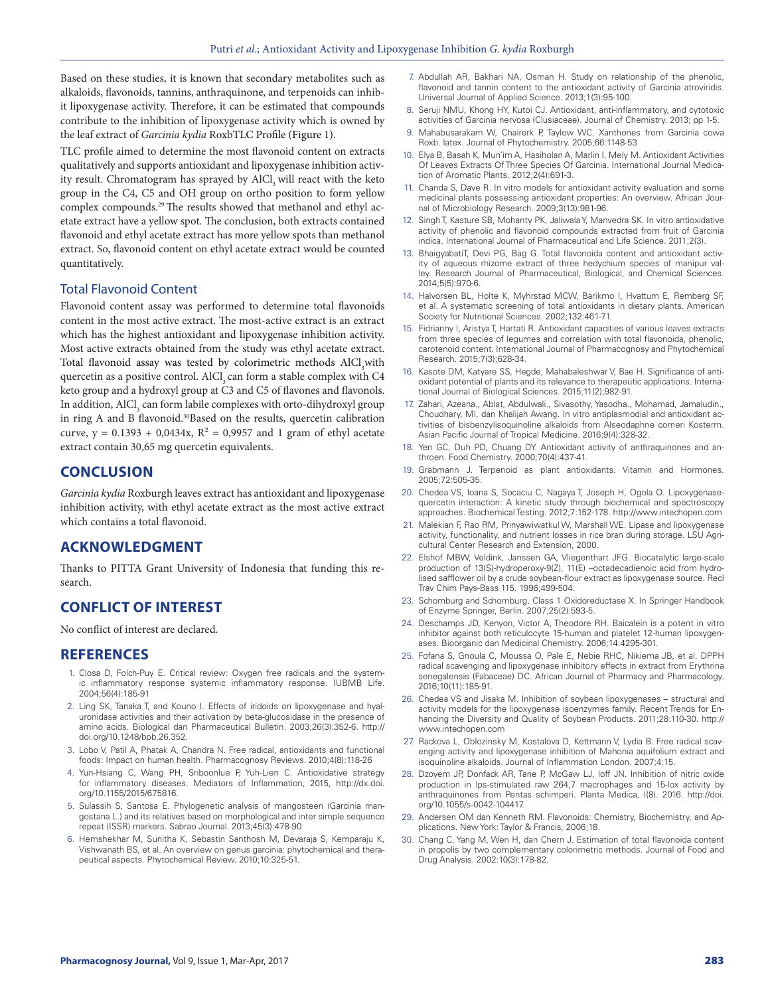Based on these studies, it is known that secondary metabolites such as alkaloids, flavonoids, tannins, anthraquinone, and terpenoids can inhibit lipoxygenase activity. Therefore, it can be estimated that compounds contribute to the inhibition of lipoxygenase activity which is owned by the leaf extract of *Garcinia kydia* RoxbTLC Profile (Figure 1).

TLC profile aimed to determine the most flavonoid content on extracts qualitatively and supports antioxidant and lipoxygenase inhibition activity result. Chromatogram has sprayed by AlCl<sub>3</sub> will react with the keto group in the C4, C5 and OH group on ortho position to form yellow complex compounds.<sup>29</sup> The results showed that methanol and ethyl acetate extract have a yellow spot. The conclusion, both extracts contained flavonoid and ethyl acetate extract has more yellow spots than methanol extract. So, flavonoid content on ethyl acetate extract would be counted quantitatively.

## Total Flavonoid Content

Flavonoid content assay was performed to determine total flavonoids content in the most active extract. The most-active extract is an extract which has the highest antioxidant and lipoxygenase inhibition activity. Most active extracts obtained from the study was ethyl acetate extract. Total flavonoid assay was tested by colorimetric methods  $\text{AlCl}_3$  with quercetin as a positive control. AlCl<sub>2</sub> can form a stable complex with C4 keto group and a hydroxyl group at C3 and C5 of flavones and flavonols. In addition,  $\mathrm{AICl}_{_3}$  can form labile complexes with orto-dihydroxyl group in ring A and B flavonoid.30Based on the results, quercetin calibration curve,  $y = 0.1393 + 0.0434x$ ,  $R^2 = 0.9957$  and 1 gram of ethyl acetate extract contain 30,65 mg quercetin equivalents.

# **CONCLUSION**

*Garcinia kydia* Roxburgh leaves extract has antioxidant and lipoxygenase inhibition activity, with ethyl acetate extract as the most active extract which contains a total flavonoid.

# **ACKNOWLEDGMENT**

Thanks to PITTA Grant University of Indonesia that funding this research.

# **CONFLICT OF INTEREST**

No conflict of interest are declared.

#### **REFERENCES**

- 1. Closa D, Folch-Puy E. Critical review: Oxygen free radicals and the systemic inflammatory response systemic inflammatory response. IUBMB Life. 2004;56(4):185-91
- 2. Ling SK, Tanaka T, and Kouno I. Effects of iridoids on lipoxygenase and hyaluronidase activities and their activation by beta-glucosidase in the presence of amino acids. Biological dan Pharmaceutical Bulletin. 2003;26(3):352-6. http:// doi.org/10.1248/bpb.26.352.
- 3. Lobo V, Patil A, Phatak A, Chandra N. Free radical, antioxidants and functional foods: Impact on human health. Pharmacognosy Reviews. 2010;4(8):118-26
- 4. Yun-Hsiang C, Wang PH, Sriboonlue P, Yuh-Lien C. Antioxidative strategy for inflammatory diseases. Mediators of Inflammation, 2015, http://dx.doi. org/10.1155/2015/675816.
- 5. Sulassih S, Santosa E. Phylogenetic analysis of mangosteen (Garcinia mangostana L.) and its relatives based on morphological and inter simple sequence repeat (ISSR) markers. Sabrao Journal. 2013;45(3):478-90
- 6. Hemshekhar M, Sunitha K, Sebastin Santhosh M, Devaraja S, Kemparaju K, Vishwanath BS, et al. An overview on genus garcinia: phytochemical and therapeutical aspects. Phytochemical Review. 2010;10:325-51.
- 7. Abdullah AR, Bakhari NA, Osman H. Study on relationship of the phenolic, flavonoid and tannin content to the antioxidant activity of Garcinia atroviridis. Universal Journal of Applied Science. 2013;1(3):95-100.
- 8. Seruji NMU, Khong HY, Kutoi CJ. Antioxidant, anti-inflammatory, and cytotoxic activities of Garcinia nervosa (Clusiaceae). Journal of Chemistry. 2013; pp 1-5.
- 9. Mahabusarakam W, Chairerk P, Taylow WC. Xanthones from Garcinia cowa Roxb. latex. Journal of Phytochemistry. 2005;66:1148-53
- 10. Elya B, Basah K, Mun'im A, Hasiholan A, Marlin I, Mely M. Antioxidant Activities Of Leaves Extracts Of Three Species Of Garcinia. International Journal Medication of Aromatic Plants. 2012;2(4):691-3.
- 11. Chanda S, Dave R. In vitro models for antioxidant activity evaluation and some medicinal plants possessing antioxidant properties: An overview. African Journal of Microbiology Research. 2009;3(13):981-96.
- 12. Singh T, Kasture SB, Mohanty PK, Jaliwala Y, Manvedra SK. In vitro antioxidative activity of phenolic and flavonoid compounds extracted from fruit of Garcinia indica. International Journal of Pharmaceutical and Life Science. 2011;2(3).
- 13. BhaigyabatiT, Devi PG, Bag G. Total flavonoida content and antioxidant activity of aqueous rhizome extract of three hedychium species of manipur valley. Research Journal of Pharmaceutical, Biological, and Chemical Sciences. 2014;5(5):970-6.
- 14. Halvorsen BL, Holte K, Myhrstad MCW, Barikmo I, Hvattum E, Remberg SF, et al. A systematic screening of total antioxidants in dietary plants. American Society for Nutritional Sciences. 2002;132:461-71.
- 15. Fidrianny I, Aristya T, Hartati R. Antioxidant capacities of various leaves extracts from three species of legumes and correlation with total flavonoida, phenolic, carotenoid content. International Journal of Pharmacognosy and Phytochemical Research. 2015;7(3);628-34.
- 16. Kasote DM, Katyare SS, Hegde, Mahabaleshwar V, Bae H. Significance of antioxidant potential of plants and its relevance to therapeutic applications. International Journal of Biological Sciences. 2015;11(2);982-91.
- 17. Zahari, Azeana., Ablat, Abdulwali., Sivasothy, Yasodha., Mohamad, Jamaludin., Choudhary, MI, dan Khalijah Awang. In vitro antiplasmodial and antioxidant activities of bisbenzylisoquinoline alkaloids from Alseodaphne corneri Kosterm. Asian Pacific Journal of Tropical Medicine. 2016;9(4):328-32.
- 18. Yen GC, Duh PD, Chuang DY. Antioxidant activity of anthraquinones and anthroen. Food Chemistry. 2000;70(4):437-41.
- 19. Grabmann J. Terpenoid as plant antioxidants. Vitamin and Hormones. 2005;72:505-35.
- 20. Chedea VS, Ioana S, Socaciu C, Nagaya T, Joseph H, Ogola O. Lipoxygenasequercetin interaction: A kinetic study through biochemical and spectroscopy approaches. Biochemical Testing. 2012;7:152-178. http://www.intechopen.com
- 21. Malekian F, Rao RM, Prinyawiwatkul W, Marshall WE. Lipase and lipoxygenase activity, functionality, and nutrient losses in rice bran during storage. LSU Agricultural Center Research and Extension, 2000.
- 22. Elshof MBW, Veldink, Janssen GA, Vliegenthart JFG. Biocatalytic large-scale production of 13(S)-hydroperoxy-9(Z), 11(E) –octadecadienoic acid from hydrolised safflower oil by a crude soybean-flour extract as lipoxygenase source. Recl Trav Chim Pays-Bass 115. 1996;499-504.
- 23. Schomburg and Schomburg. Class 1 Oxidoreductase X. In Springer Handbook of Enzyme Springer, Berlin. 2007;25(2):593-5.
- 24. Deschamps JD, Kenyon, Victor A, Theodore RH. Baicalein is a potent in vitro inhibitor against both reticulocyte 15-human and platelet 12-human lipoxygenases. Bioorganic dan Medicinal Chemistry. 2006;14:4295-301.
- 25. Fofana S, Gnoula C, Moussa O, Pale E, Nebie RHC, Nikiema JB, et al. DPPH radical scavenging and lipoxygenase inhibitory effects in extract from Erythrina senegalensis (Fabaceae) DC. African Journal of Pharmacy and Pharmacology. 2016;10(11):185-91.
- 26. Chedea VS and Jisaka M. Inhibition of soybean lipoxygenases structural and activity models for the lipoxygenase isoenzymes family. Recent Trends for Enhancing the Diversity and Quality of Soybean Products. 2011;28:110-30. http:// www.intechopen.com
- 27. Rackova L, Oblozinsky M, Kostalova D, Kettmann V, Lydia B. Free radical scavenging activity and lipoxygenase inhibition of Mahonia aquifolium extract and isoquinoline alkaloids. Journal of Inflammation London. 2007;4:15.
- 28. Dzoyem JP, Donfack AR, Tane P, McGaw LJ, loff JN. Inhibition of nitric oxide production in lps-stimulated raw 264,7 macrophages and 15-lox activity by anthraquinones from Pentas schimperi. Planta Medica, I(8). 2016. http://doi. org/10.1055/s-0042-104417.
- 29. Andersen OM dan Kenneth RM. Flavonoids: Chemistry, Biochemistry, and Applications. New York: Taylor & Francis, 2006;18.
- 30. Chang C, Yang M, Wen H, dan Chern J. Estimation of total flavonoida content in propolis by two complementary colorimetric methods. Journal of Food and Drug Analysis. 2002:10(3):178-82.